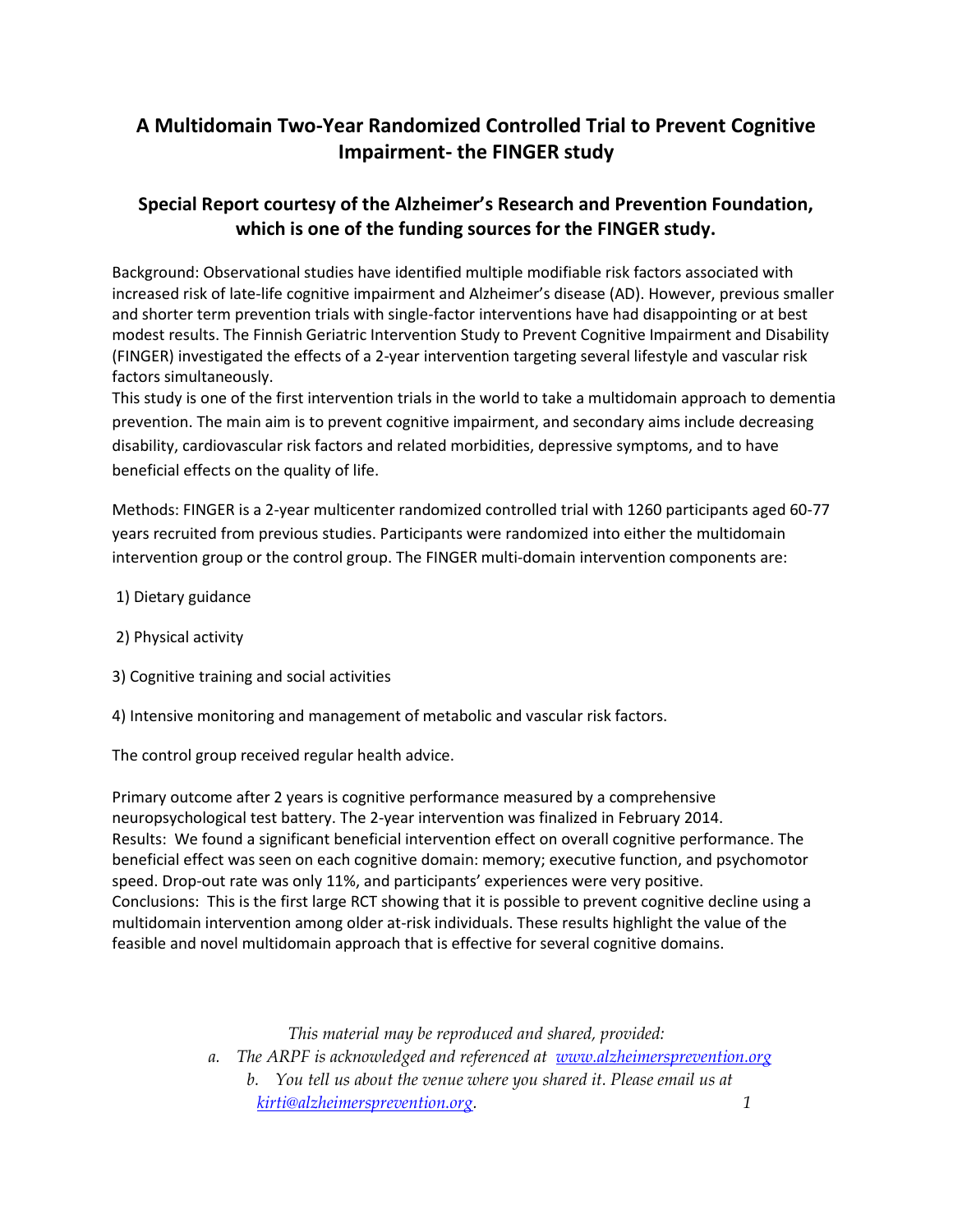# **A Multidomain Two-Year Randomized Controlled Trial to Prevent Cognitive Impairment- the FINGER study**

## **Special Report courtesy of the Alzheimer's Research and Prevention Foundation, which is one of the funding sources for the FINGER study.**

Background: Observational studies have identified multiple modifiable risk factors associated with increased risk of late-life cognitive impairment and Alzheimer's disease (AD). However, previous smaller and shorter term prevention trials with single-factor interventions have had disappointing or at best modest results. The Finnish Geriatric Intervention Study to Prevent Cognitive Impairment and Disability (FINGER) investigated the effects of a 2-year intervention targeting several lifestyle and vascular risk factors simultaneously.

This study is one of the first intervention trials in the world to take a multidomain approach to dementia prevention. The main aim is to prevent cognitive impairment, and secondary aims include decreasing disability, cardiovascular risk factors and related morbidities, depressive symptoms, and to have beneficial effects on the quality of life.

Methods: FINGER is a 2-year multicenter randomized controlled trial with 1260 participants aged 60-77 years recruited from previous studies. Participants were randomized into either the multidomain intervention group or the control group. The FINGER multi-domain intervention components are:

- 1) Dietary guidance
- 2) Physical activity
- 3) Cognitive training and social activities
- 4) Intensive monitoring and management of metabolic and vascular risk factors.

The control group received regular health advice.

Primary outcome after 2 years is cognitive performance measured by a comprehensive neuropsychological test battery. The 2-year intervention was finalized in February 2014. Results: We found a significant beneficial intervention effect on overall cognitive performance. The beneficial effect was seen on each cognitive domain: memory; executive function, and psychomotor speed. Drop-out rate was only 11%, and participants' experiences were very positive. Conclusions: This is the first large RCT showing that it is possible to prevent cognitive decline using a multidomain intervention among older at-risk individuals. These results highlight the value of the feasible and novel multidomain approach that is effective for several cognitive domains.

*This material may be reproduced and shared, provided:*

*a. The ARPF is acknowledged and referenced at www.alzheimersprevention.org b. You tell us about the venue where you shared it. Please email us at kirti@alzheimersprevention.org. 1*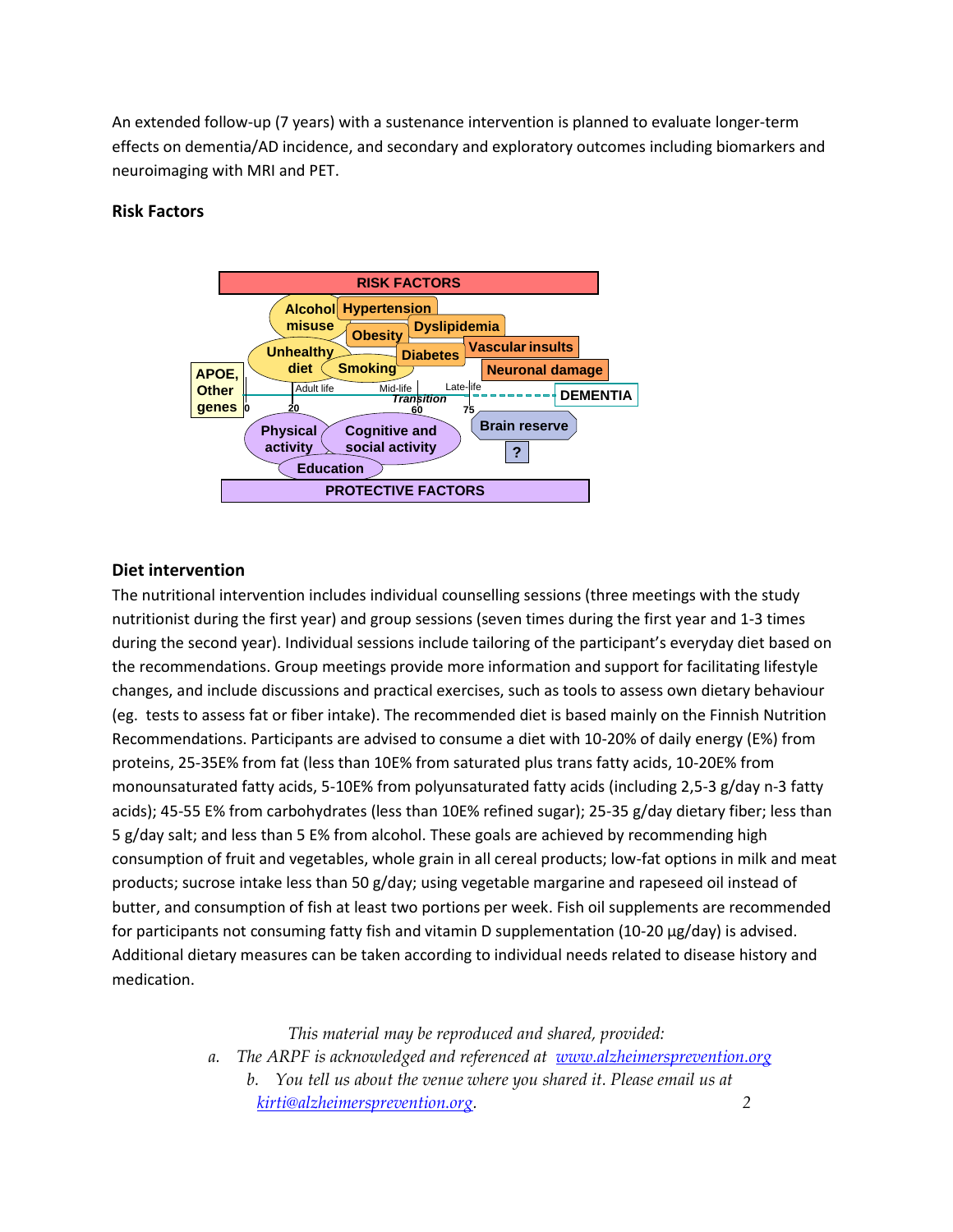An extended follow-up (7 years) with a sustenance intervention is planned to evaluate longer-term effects on dementia/AD incidence, and secondary and exploratory outcomes including biomarkers and neuroimaging with MRI and PET.

## **Risk Factors**



## **Diet intervention**

The nutritional intervention includes individual counselling sessions (three meetings with the study nutritionist during the first year) and group sessions (seven times during the first year and 1-3 times during the second year). Individual sessions include tailoring of the participant's everyday diet based on the recommendations. Group meetings provide more information and support for facilitating lifestyle changes, and include discussions and practical exercises, such as tools to assess own dietary behaviour (eg. tests to assess fat or fiber intake). The recommended diet is based mainly on the Finnish Nutrition Recommendations. Participants are advised to consume a diet with 10-20% of daily energy (E%) from proteins, 25-35E% from fat (less than 10E% from saturated plus trans fatty acids, 10-20E% from monounsaturated fatty acids, 5-10E% from polyunsaturated fatty acids (including 2,5-3 g/day n-3 fatty acids); 45-55 E% from carbohydrates (less than 10E% refined sugar); 25-35 g/day dietary fiber; less than 5 g/day salt; and less than 5 E% from alcohol. These goals are achieved by recommending high consumption of fruit and vegetables, whole grain in all cereal products; low-fat options in milk and meat products; sucrose intake less than 50 g/day; using vegetable margarine and rapeseed oil instead of butter, and consumption of fish at least two portions per week. Fish oil supplements are recommended for participants not consuming fatty fish and vitamin D supplementation (10-20 μg/day) is advised. Additional dietary measures can be taken according to individual needs related to disease history and medication.

*This material may be reproduced and shared, provided:*

*a. The ARPF is acknowledged and referenced at www.alzheimersprevention.org b. You tell us about the venue where you shared it. Please email us at kirti@alzheimersprevention.org. 2*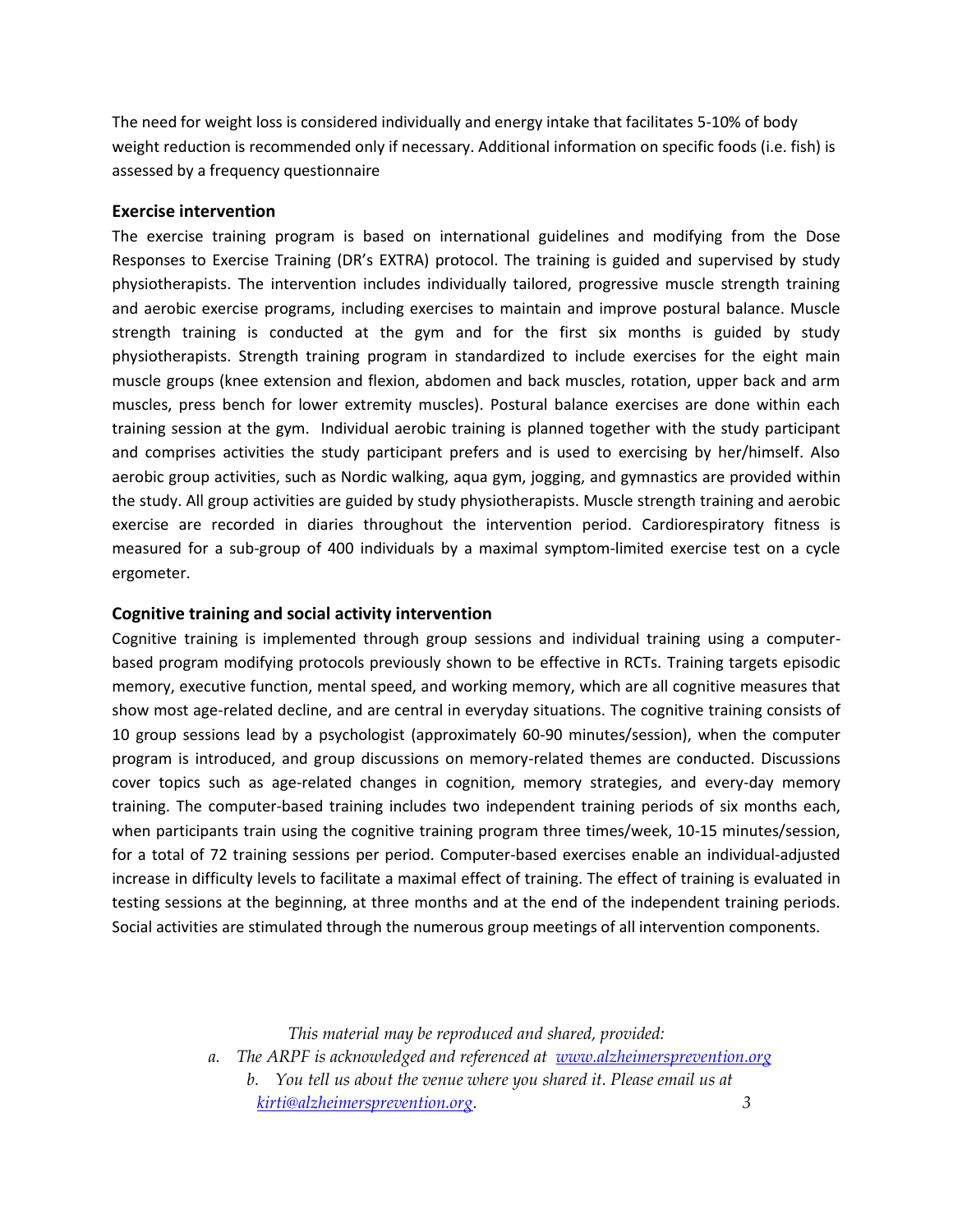The need for weight loss is considered individually and energy intake that facilitates 5-10% of body weight reduction is recommended only if necessary. Additional information on specific foods (i.e. fish) is assessed by a frequency questionnaire

#### **Exercise intervention**

The exercise training program is based on international guidelines and modifying from the Dose Responses to Exercise Training (DR's EXTRA) protocol. The training is guided and supervised by study physiotherapists. The intervention includes individually tailored, progressive muscle strength training and aerobic exercise programs, including exercises to maintain and improve postural balance. Muscle strength training is conducted at the gym and for the first six months is guided by study physiotherapists. Strength training program in standardized to include exercises for the eight main muscle groups (knee extension and flexion, abdomen and back muscles, rotation, upper back and arm muscles, press bench for lower extremity muscles). Postural balance exercises are done within each training session at the gym. Individual aerobic training is planned together with the study participant and comprises activities the study participant prefers and is used to exercising by her/himself. Also aerobic group activities, such as Nordic walking, aqua gym, jogging, and gymnastics are provided within the study. All group activities are guided by study physiotherapists. Muscle strength training and aerobic exercise are recorded in diaries throughout the intervention period. Cardiorespiratory fitness is measured for a sub-group of 400 individuals by a maximal symptom-limited exercise test on a cycle ergometer.

#### **Cognitive training and social activity intervention**

Cognitive training is implemented through group sessions and individual training using a computerbased program modifying protocols previously shown to be effective in RCTs. Training targets episodic memory, executive function, mental speed, and working memory, which are all cognitive measures that show most age-related decline, and are central in everyday situations. The cognitive training consists of 10 group sessions lead by a psychologist (approximately 60-90 minutes/session), when the computer program is introduced, and group discussions on memory-related themes are conducted. Discussions cover topics such as age-related changes in cognition, memory strategies, and every-day memory training. The computer-based training includes two independent training periods of six months each, when participants train using the cognitive training program three times/week, 10-15 minutes/session, for a total of 72 training sessions per period. Computer-based exercises enable an individual-adjusted increase in difficulty levels to facilitate a maximal effect of training. The effect of training is evaluated in testing sessions at the beginning, at three months and at the end of the independent training periods. Social activities are stimulated through the numerous group meetings of all intervention components.

*This material may be reproduced and shared, provided:*

*a. The ARPF is acknowledged and referenced at www.alzheimersprevention.org*

*b. You tell us about the venue where you shared it. Please email us at kirti@alzheimersprevention.org. 3*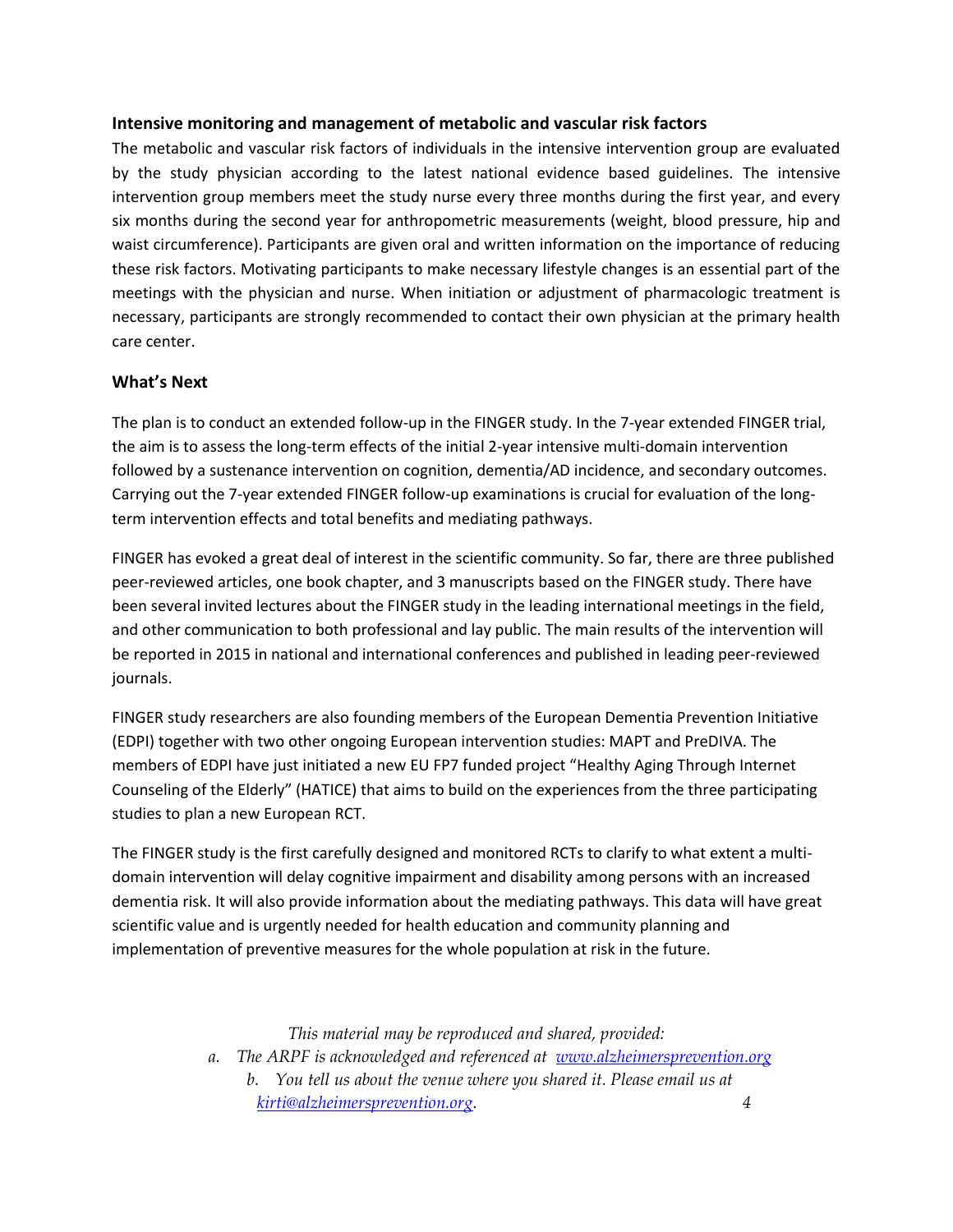## **Intensive monitoring and management of metabolic and vascular risk factors**

The metabolic and vascular risk factors of individuals in the intensive intervention group are evaluated by the study physician according to the latest national evidence based guidelines. The intensive intervention group members meet the study nurse every three months during the first year, and every six months during the second year for anthropometric measurements (weight, blood pressure, hip and waist circumference). Participants are given oral and written information on the importance of reducing these risk factors. Motivating participants to make necessary lifestyle changes is an essential part of the meetings with the physician and nurse. When initiation or adjustment of pharmacologic treatment is necessary, participants are strongly recommended to contact their own physician at the primary health care center.

## **What's Next**

The plan is to conduct an extended follow-up in the FINGER study. In the 7-year extended FINGER trial, the aim is to assess the long-term effects of the initial 2-year intensive multi-domain intervention followed by a sustenance intervention on cognition, dementia/AD incidence, and secondary outcomes. Carrying out the 7-year extended FINGER follow-up examinations is crucial for evaluation of the longterm intervention effects and total benefits and mediating pathways.

FINGER has evoked a great deal of interest in the scientific community. So far, there are three published peer-reviewed articles, one book chapter, and 3 manuscripts based on the FINGER study. There have been several invited lectures about the FINGER study in the leading international meetings in the field, and other communication to both professional and lay public. The main results of the intervention will be reported in 2015 in national and international conferences and published in leading peer-reviewed journals.

FINGER study researchers are also founding members of the European Dementia Prevention Initiative (EDPI) together with two other ongoing European intervention studies: MAPT and PreDIVA. The members of EDPI have just initiated a new EU FP7 funded project "Healthy Aging Through Internet Counseling of the Elderly" (HATICE) that aims to build on the experiences from the three participating studies to plan a new European RCT.

The FINGER study is the first carefully designed and monitored RCTs to clarify to what extent a multidomain intervention will delay cognitive impairment and disability among persons with an increased dementia risk. It will also provide information about the mediating pathways. This data will have great scientific value and is urgently needed for health education and community planning and implementation of preventive measures for the whole population at risk in the future.

*This material may be reproduced and shared, provided:*

*a. The ARPF is acknowledged and referenced at www.alzheimersprevention.org b. You tell us about the venue where you shared it. Please email us at kirti@alzheimersprevention.org. 4*